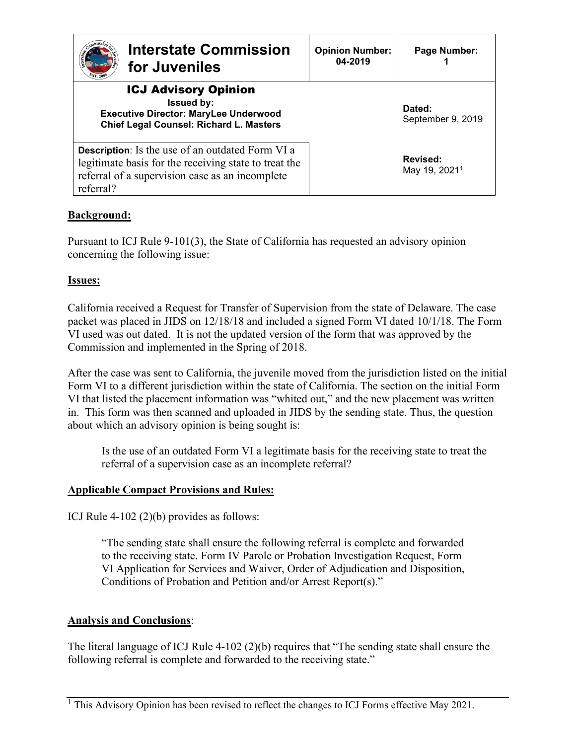| <b>Interstate Commission</b><br>for Juveniles<br><b>ST 200</b>                                                                                                                   | <b>Opinion Number:</b><br>04-2019 | Page Number:                          |
|----------------------------------------------------------------------------------------------------------------------------------------------------------------------------------|-----------------------------------|---------------------------------------|
| <b>ICJ Advisory Opinion</b><br><b>Issued by:</b><br><b>Executive Director: MaryLee Underwood</b><br><b>Chief Legal Counsel: Richard L. Masters</b>                               |                                   | Dated:<br>September 9, 2019           |
| <b>Description:</b> Is the use of an outdated Form VI a<br>legitimate basis for the receiving state to treat the<br>referral of a supervision case as an incomplete<br>referral? |                                   | Revised:<br>May 19, 2021 <sup>1</sup> |

# **Background:**

Pursuant to ICJ Rule 9-101(3), the State of California has requested an advisory opinion concerning the following issue:

## **Issues:**

California received a Request for Transfer of Supervision from the state of Delaware. The case packet was placed in JIDS on 12/18/18 and included a signed Form VI dated 10/1/18. The Form VI used was out dated. It is not the updated version of the form that was approved by the Commission and implemented in the Spring of 2018.

After the case was sent to California, the juvenile moved from the jurisdiction listed on the initial Form VI to a different jurisdiction within the state of California. The section on the initial Form VI that listed the placement information was "whited out," and the new placement was written in. This form was then scanned and uploaded in JIDS by the sending state. Thus, the question about which an advisory opinion is being sought is:

Is the use of an outdated Form VI a legitimate basis for the receiving state to treat the referral of a supervision case as an incomplete referral?

### **Applicable Compact Provisions and Rules:**

ICJ Rule 4-102 (2)(b) provides as follows:

"The sending state shall ensure the following referral is complete and forwarded to the receiving state. Form IV Parole or Probation Investigation Request, Form VI Application for Services and Waiver, Order of Adjudication and Disposition, Conditions of Probation and Petition and/or Arrest Report(s)."

### **Analysis and Conclusions**:

The literal language of ICJ Rule 4-102 (2)(b) requires that "The sending state shall ensure the following referral is complete and forwarded to the receiving state."